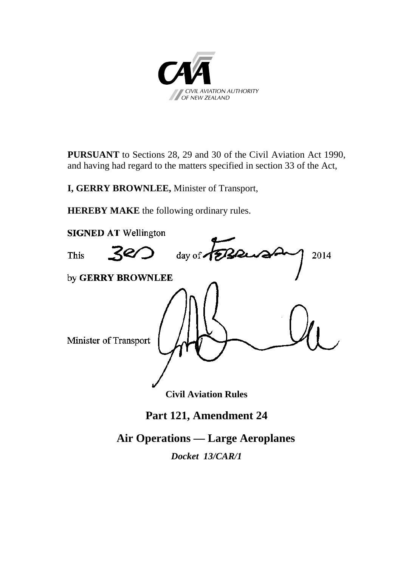

**PURSUANT** to Sections 28, 29 and 30 of the Civil Aviation Act 1990, and having had regard to the matters specified in section 33 of the Act,

**I, GERRY BROWNLEE,** Minister of Transport,

**HEREBY MAKE** the following ordinary rules.



**Part 121, Amendment 24**

**Air Operations — Large Aeroplanes**

*Docket 13/CAR/1*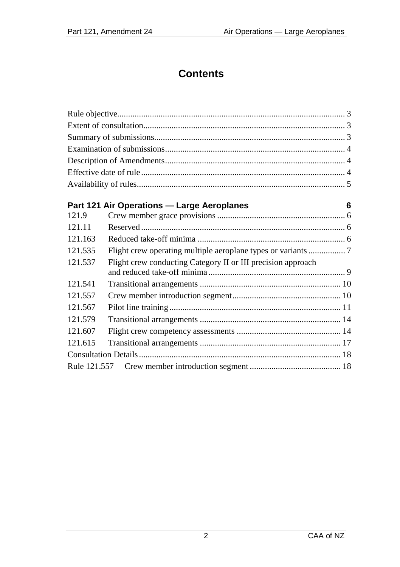# **Contents**

|         | Part 121 Air Operations - Large Aeroplanes                    | 6 |  |
|---------|---------------------------------------------------------------|---|--|
| 121.9   |                                                               |   |  |
| 121.11  |                                                               |   |  |
| 121.163 |                                                               |   |  |
| 121.535 | Flight crew operating multiple aeroplane types or variants  7 |   |  |
| 121.537 | Flight crew conducting Category II or III precision approach  |   |  |
| 121.541 |                                                               |   |  |
| 121.557 |                                                               |   |  |
| 121.567 |                                                               |   |  |
| 121.579 |                                                               |   |  |
| 121.607 |                                                               |   |  |
| 121.615 |                                                               |   |  |
|         |                                                               |   |  |
|         |                                                               |   |  |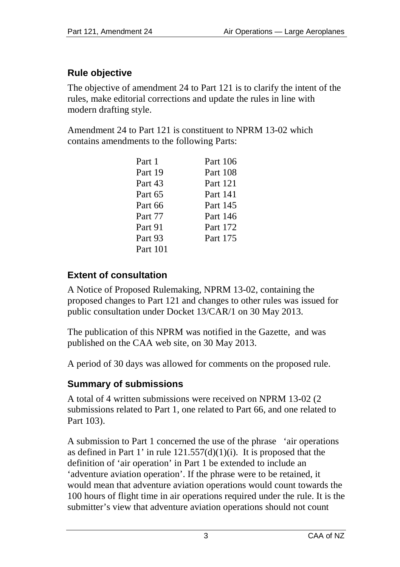# <span id="page-2-0"></span>**Rule objective**

The objective of amendment 24 to Part 121 is to clarify the intent of the rules, make editorial corrections and update the rules in line with modern drafting style.

Amendment 24 to Part 121 is constituent to NPRM 13-02 which contains amendments to the following Parts:

| Part 1   | Part 106 |
|----------|----------|
| Part 19  | Part 108 |
| Part 43  | Part 121 |
| Part 65  | Part 141 |
| Part 66  | Part 145 |
| Part 77  | Part 146 |
| Part 91  | Part 172 |
| Part 93  | Part 175 |
| Part 101 |          |

# <span id="page-2-1"></span>**Extent of consultation**

A Notice of Proposed Rulemaking, NPRM 13-02, containing the proposed changes to Part 121 and changes to other rules was issued for public consultation under Docket 13/CAR/1 on 30 May 2013.

The publication of this NPRM was notified in the Gazette, and was published on the CAA web site, on 30 May 2013.

A period of 30 days was allowed for comments on the proposed rule.

# <span id="page-2-2"></span>**Summary of submissions**

A total of 4 written submissions were received on NPRM 13-02 (2 submissions related to Part 1, one related to Part 66, and one related to Part 103).

A submission to Part 1 concerned the use of the phrase 'air operations as defined in Part 1' in rule  $121.557(d)(1)(i)$ . It is proposed that the definition of 'air operation' in Part 1 be extended to include an 'adventure aviation operation'. If the phrase were to be retained, it would mean that adventure aviation operations would count towards the 100 hours of flight time in air operations required under the rule. It is the submitter's view that adventure aviation operations should not count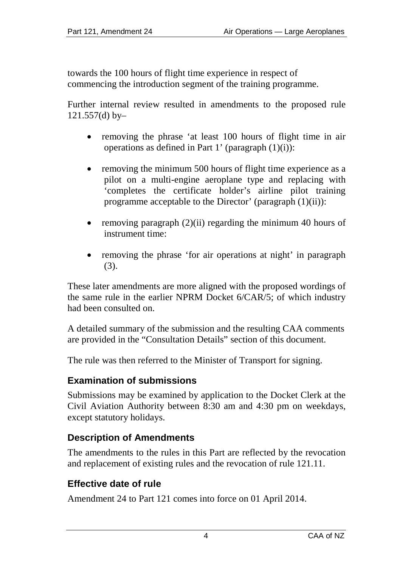towards the 100 hours of flight time experience in respect of commencing the introduction segment of the training programme.

Further internal review resulted in amendments to the proposed rule 121.557(d) by–

- removing the phrase 'at least 100 hours of flight time in air operations as defined in Part 1' (paragraph  $(1)(i)$ ):
- removing the minimum 500 hours of flight time experience as a pilot on a multi-engine aeroplane type and replacing with 'completes the certificate holder's airline pilot training programme acceptable to the Director' (paragraph (1)(ii)):
- removing paragraph (2)(ii) regarding the minimum 40 hours of instrument time:
- removing the phrase 'for air operations at night' in paragraph (3).

These later amendments are more aligned with the proposed wordings of the same rule in the earlier NPRM Docket 6/CAR/5; of which industry had been consulted on.

A detailed summary of the submission and the resulting CAA comments are provided in the "Consultation Details" section of this document.

The rule was then referred to the Minister of Transport for signing.

### <span id="page-3-0"></span>**Examination of submissions**

Submissions may be examined by application to the Docket Clerk at the Civil Aviation Authority between 8:30 am and 4:30 pm on weekdays, except statutory holidays.

### <span id="page-3-1"></span>**Description of Amendments**

The amendments to the rules in this Part are reflected by the revocation and replacement of existing rules and the revocation of rule 121.11.

### <span id="page-3-2"></span>**Effective date of rule**

Amendment 24 to Part 121 comes into force on 01 April 2014.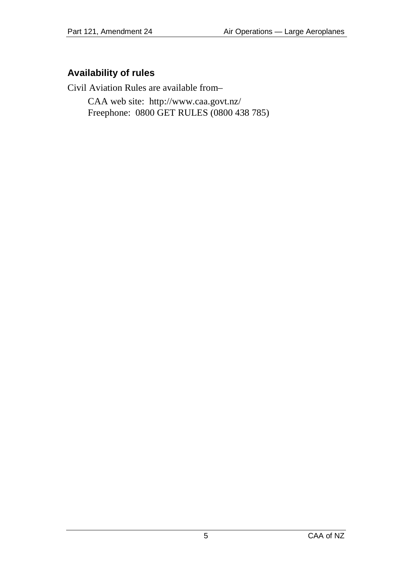## <span id="page-4-0"></span>**Availability of rules**

Civil Aviation Rules are available from–

CAA web site:<http://www.caa.govt.nz/> Freephone: 0800 GET RULES (0800 438 785)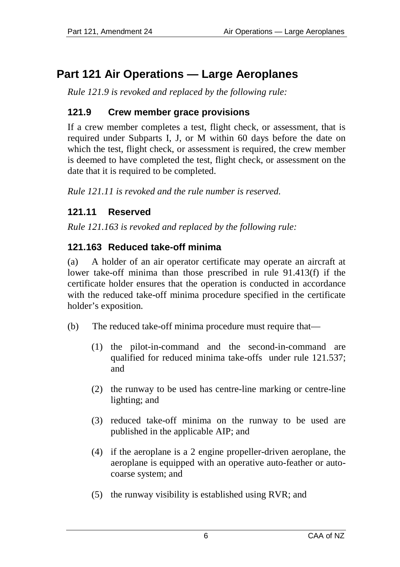# <span id="page-5-0"></span>**Part 121 Air Operations — Large Aeroplanes**

*Rule 121.9 is revoked and replaced by the following rule:*

## <span id="page-5-1"></span>**121.9 Crew member grace provisions**

If a crew member completes a test, flight check, or assessment, that is required under Subparts I, J, or M within 60 days before the date on which the test, flight check, or assessment is required, the crew member is deemed to have completed the test, flight check, or assessment on the date that it is required to be completed.

*Rule 121.11 is revoked and the rule number is reserved.* 

## <span id="page-5-2"></span>**121.11 Reserved**

*Rule 121.163 is revoked and replaced by the following rule:* 

# <span id="page-5-3"></span>**121.163 Reduced take-off minima**

(a) A holder of an air operator certificate may operate an aircraft at lower take-off minima than those prescribed in rule 91.413(f) if the certificate holder ensures that the operation is conducted in accordance with the reduced take-off minima procedure specified in the certificate holder's exposition.

- (b) The reduced take-off minima procedure must require that—
	- (1) the pilot-in-command and the second-in-command are qualified for reduced minima take-offs under rule 121.537; and
	- (2) the runway to be used has centre-line marking or centre-line lighting; and
	- (3) reduced take-off minima on the runway to be used are published in the applicable AIP; and
	- (4) if the aeroplane is a 2 engine propeller-driven aeroplane, the aeroplane is equipped with an operative auto-feather or autocoarse system; and
	- (5) the runway visibility is established using RVR; and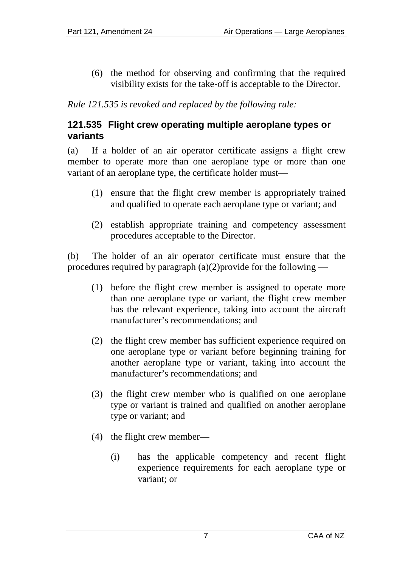(6) the method for observing and confirming that the required visibility exists for the take-off is acceptable to the Director.

*Rule 121.535 is revoked and replaced by the following rule:*

#### <span id="page-6-0"></span>**121.535 Flight crew operating multiple aeroplane types or variants**

(a) If a holder of an air operator certificate assigns a flight crew member to operate more than one aeroplane type or more than one variant of an aeroplane type, the certificate holder must—

- (1) ensure that the flight crew member is appropriately trained and qualified to operate each aeroplane type or variant; and
- (2) establish appropriate training and competency assessment procedures acceptable to the Director.

(b) The holder of an air operator certificate must ensure that the procedures required by paragraph (a)(2)provide for the following —

- (1) before the flight crew member is assigned to operate more than one aeroplane type or variant, the flight crew member has the relevant experience, taking into account the aircraft manufacturer's recommendations; and
- (2) the flight crew member has sufficient experience required on one aeroplane type or variant before beginning training for another aeroplane type or variant, taking into account the manufacturer's recommendations; and
- (3) the flight crew member who is qualified on one aeroplane type or variant is trained and qualified on another aeroplane type or variant; and
- (4) the flight crew member—
	- (i) has the applicable competency and recent flight experience requirements for each aeroplane type or variant; or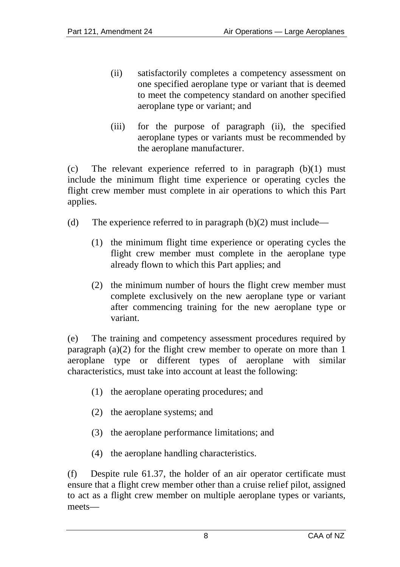- (ii) satisfactorily completes a competency assessment on one specified aeroplane type or variant that is deemed to meet the competency standard on another specified aeroplane type or variant; and
- (iii) for the purpose of paragraph (ii), the specified aeroplane types or variants must be recommended by the aeroplane manufacturer.

(c) The relevant experience referred to in paragraph (b)(1) must include the minimum flight time experience or operating cycles the flight crew member must complete in air operations to which this Part applies.

- (d) The experience referred to in paragraph  $(b)(2)$  must include—
	- (1) the minimum flight time experience or operating cycles the flight crew member must complete in the aeroplane type already flown to which this Part applies; and
	- (2) the minimum number of hours the flight crew member must complete exclusively on the new aeroplane type or variant after commencing training for the new aeroplane type or variant.

(e) The training and competency assessment procedures required by paragraph (a)(2) for the flight crew member to operate on more than 1 aeroplane type or different types of aeroplane with similar characteristics, must take into account at least the following:

- (1) the aeroplane operating procedures; and
- (2) the aeroplane systems; and
- (3) the aeroplane performance limitations; and
- (4) the aeroplane handling characteristics.

(f) Despite rule 61.37, the holder of an air operator certificate must ensure that a flight crew member other than a cruise relief pilot, assigned to act as a flight crew member on multiple aeroplane types or variants, meets—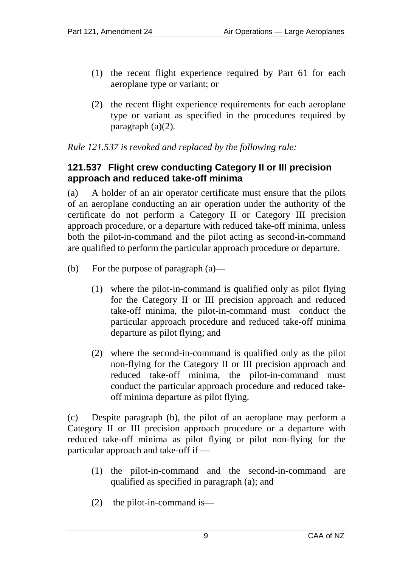- (1) the recent flight experience required by Part 61 for each aeroplane type or variant; or
- (2) the recent flight experience requirements for each aeroplane type or variant as specified in the procedures required by paragraph (a)(2).

*Rule 121.537 is revoked and replaced by the following rule:*

#### <span id="page-8-0"></span>**121.537 Flight crew conducting Category II or III precision approach and reduced take-off minima**

(a) A holder of an air operator certificate must ensure that the pilots of an aeroplane conducting an air operation under the authority of the certificate do not perform a Category II or Category III precision approach procedure, or a departure with reduced take-off minima, unless both the pilot-in-command and the pilot acting as second-in-command are qualified to perform the particular approach procedure or departure.

- (b) For the purpose of paragraph (a)—
	- (1) where the pilot-in-command is qualified only as pilot flying for the Category II or III precision approach and reduced take-off minima, the pilot-in-command must conduct the particular approach procedure and reduced take-off minima departure as pilot flying; and
	- (2) where the second-in-command is qualified only as the pilot non-flying for the Category II or III precision approach and reduced take-off minima, the pilot-in-command must conduct the particular approach procedure and reduced takeoff minima departure as pilot flying.

(c) Despite paragraph (b), the pilot of an aeroplane may perform a Category II or III precision approach procedure or a departure with reduced take-off minima as pilot flying or pilot non-flying for the particular approach and take-off if —

- (1) the pilot-in-command and the second-in-command are qualified as specified in paragraph (a); and
- (2) the pilot-in-command is—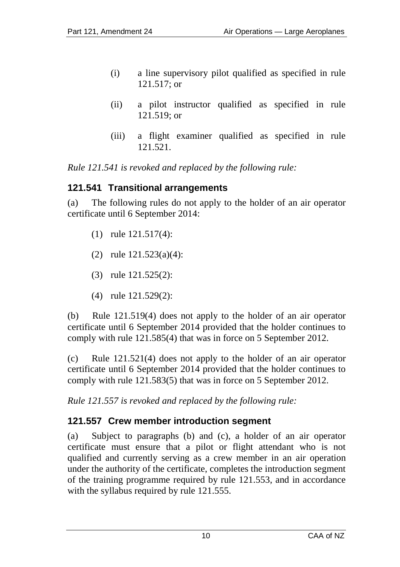- (i) a line supervisory pilot qualified as specified in rule 121.517; or
- (ii) a pilot instructor qualified as specified in rule 121.519; or
- (iii) a flight examiner qualified as specified in rule 121.521.

*Rule 121.541 is revoked and replaced by the following rule:*

#### <span id="page-9-0"></span>**121.541 Transitional arrangements**

(a) The following rules do not apply to the holder of an air operator certificate until 6 September 2014:

- (1) rule 121.517(4):
- (2) rule 121.523(a)(4):
- (3) rule 121.525(2):
- (4) rule 121.529(2):

(b) Rule 121.519(4) does not apply to the holder of an air operator certificate until 6 September 2014 provided that the holder continues to comply with rule 121.585(4) that was in force on 5 September 2012.

(c) Rule 121.521(4) does not apply to the holder of an air operator certificate until 6 September 2014 provided that the holder continues to comply with rule 121.583(5) that was in force on 5 September 2012.

*Rule 121.557 is revoked and replaced by the following rule:*

# <span id="page-9-1"></span>**121.557 Crew member introduction segment**

(a) Subject to paragraphs (b) and (c), a holder of an air operator certificate must ensure that a pilot or flight attendant who is not qualified and currently serving as a crew member in an air operation under the authority of the certificate, completes the introduction segment of the training programme required by rule 121.553, and in accordance with the syllabus required by rule 121.555.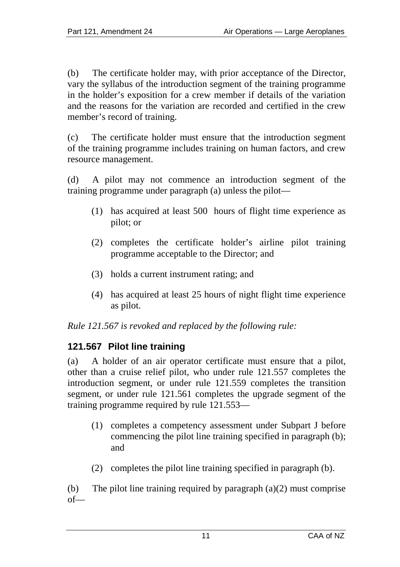(b) The certificate holder may, with prior acceptance of the Director, vary the syllabus of the introduction segment of the training programme in the holder's exposition for a crew member if details of the variation and the reasons for the variation are recorded and certified in the crew member's record of training.

(c) The certificate holder must ensure that the introduction segment of the training programme includes training on human factors, and crew resource management.

(d) A pilot may not commence an introduction segment of the training programme under paragraph (a) unless the pilot—

- (1) has acquired at least 500 hours of flight time experience as pilot; or
- (2) completes the certificate holder's airline pilot training programme acceptable to the Director; and
- (3) holds a current instrument rating; and
- (4) has acquired at least 25 hours of night flight time experience as pilot.

*Rule 121.567 is revoked and replaced by the following rule:*

### <span id="page-10-0"></span>**121.567 Pilot line training**

(a) A holder of an air operator certificate must ensure that a pilot, other than a cruise relief pilot, who under rule 121.557 completes the introduction segment, or under rule 121.559 completes the transition segment, or under rule 121.561 completes the upgrade segment of the training programme required by rule 121.553—

- (1) completes a competency assessment under Subpart J before commencing the pilot line training specified in paragraph (b); and
- (2) completes the pilot line training specified in paragraph (b).

(b) The pilot line training required by paragraph  $(a)(2)$  must comprise of—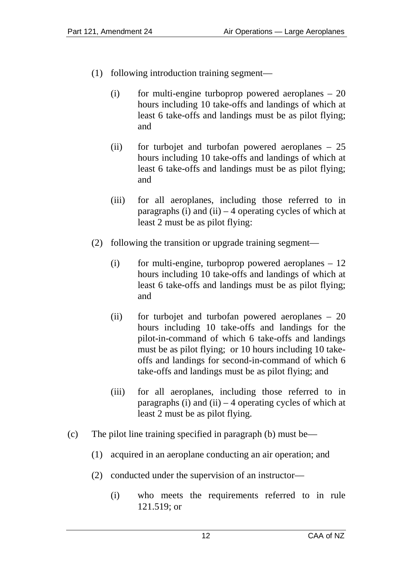- (1) following introduction training segment—
	- $(i)$  for multi-engine turboprop powered aeroplanes  $-20$ hours including 10 take-offs and landings of which at least 6 take-offs and landings must be as pilot flying; and
	- (ii) for turbojet and turbofan powered aeroplanes 25 hours including 10 take-offs and landings of which at least 6 take-offs and landings must be as pilot flying; and
	- (iii) for all aeroplanes, including those referred to in paragraphs (i) and (ii)  $-4$  operating cycles of which at least 2 must be as pilot flying:
- (2) following the transition or upgrade training segment—
	- $(i)$  for multi-engine, turboprop powered aeroplanes  $-12$ hours including 10 take-offs and landings of which at least 6 take-offs and landings must be as pilot flying; and
	- (ii) for turbojet and turbofan powered aeroplanes 20 hours including 10 take-offs and landings for the pilot-in-command of which 6 take-offs and landings must be as pilot flying; or 10 hours including 10 takeoffs and landings for second-in-command of which 6 take-offs and landings must be as pilot flying; and
	- (iii) for all aeroplanes, including those referred to in paragraphs  $(i)$  and  $(ii) - 4$  operating cycles of which at least 2 must be as pilot flying.
- (c) The pilot line training specified in paragraph (b) must be—
	- (1) acquired in an aeroplane conducting an air operation; and
	- (2) conducted under the supervision of an instructor—
		- (i) who meets the requirements referred to in rule 121.519; or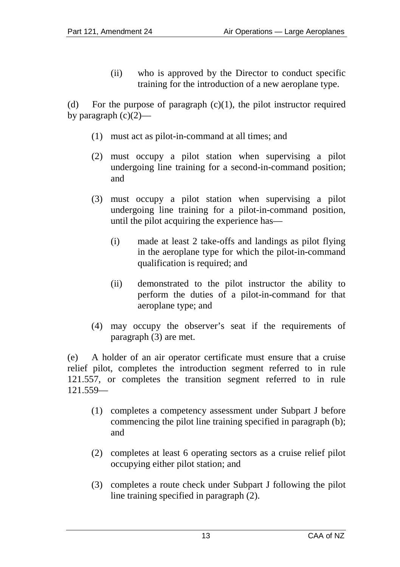(ii) who is approved by the Director to conduct specific training for the introduction of a new aeroplane type.

(d) For the purpose of paragraph  $(c)(1)$ , the pilot instructor required by paragraph  $(c)(2)$ —

- (1) must act as pilot-in-command at all times; and
- (2) must occupy a pilot station when supervising a pilot undergoing line training for a second-in-command position; and
- (3) must occupy a pilot station when supervising a pilot undergoing line training for a pilot-in-command position, until the pilot acquiring the experience has—
	- (i) made at least 2 take-offs and landings as pilot flying in the aeroplane type for which the pilot-in-command qualification is required; and
	- (ii) demonstrated to the pilot instructor the ability to perform the duties of a pilot-in-command for that aeroplane type; and
- (4) may occupy the observer's seat if the requirements of paragraph (3) are met.

(e) A holder of an air operator certificate must ensure that a cruise relief pilot, completes the introduction segment referred to in rule 121.557, or completes the transition segment referred to in rule 121.559—

- (1) completes a competency assessment under Subpart J before commencing the pilot line training specified in paragraph (b); and
- (2) completes at least 6 operating sectors as a cruise relief pilot occupying either pilot station; and
- (3) completes a route check under Subpart J following the pilot line training specified in paragraph (2).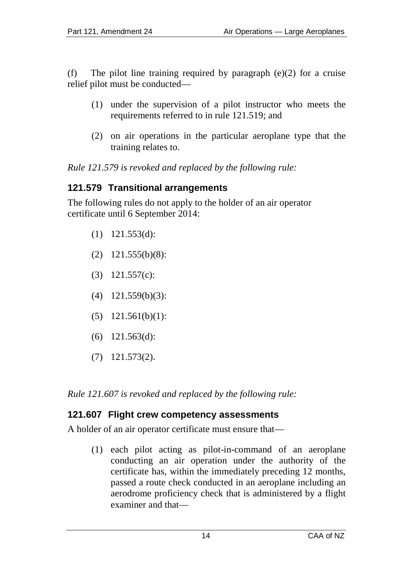(f) The pilot line training required by paragraph  $(e)(2)$  for a cruise relief pilot must be conducted—

- (1) under the supervision of a pilot instructor who meets the requirements referred to in rule 121.519; and
- (2) on air operations in the particular aeroplane type that the training relates to.

*Rule 121.579 is revoked and replaced by the following rule:*

#### <span id="page-13-0"></span>**121.579 Transitional arrangements**

The following rules do not apply to the holder of an air operator certificate until 6 September 2014:

- (1) 121.553(d):
- (2) 121.555(b)(8):
- (3) 121.557(c):
- (4) 121.559(b)(3):
- (5) 121.561(b)(1):
- (6) 121.563(d):
- (7) 121.573(2).

*Rule 121.607 is revoked and replaced by the following rule:*

### <span id="page-13-1"></span>**121.607 Flight crew competency assessments**

A holder of an air operator certificate must ensure that—

(1) each pilot acting as pilot-in-command of an aeroplane conducting an air operation under the authority of the certificate has, within the immediately preceding 12 months, passed a route check conducted in an aeroplane including an aerodrome proficiency check that is administered by a flight examiner and that—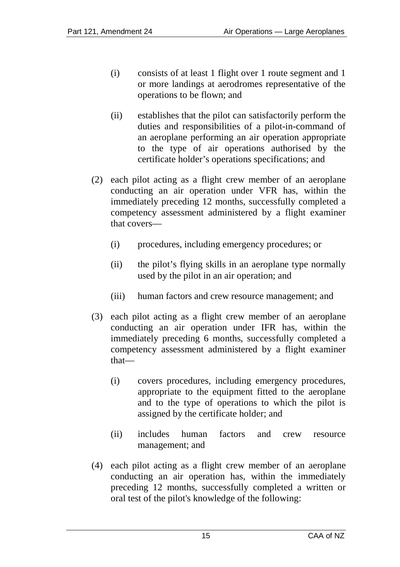- (i) consists of at least 1 flight over 1 route segment and 1 or more landings at aerodromes representative of the operations to be flown; and
- (ii) establishes that the pilot can satisfactorily perform the duties and responsibilities of a pilot-in-command of an aeroplane performing an air operation appropriate to the type of air operations authorised by the certificate holder's operations specifications; and
- (2) each pilot acting as a flight crew member of an aeroplane conducting an air operation under VFR has, within the immediately preceding 12 months, successfully completed a competency assessment administered by a flight examiner that covers—
	- (i) procedures, including emergency procedures; or
	- (ii) the pilot's flying skills in an aeroplane type normally used by the pilot in an air operation; and
	- (iii) human factors and crew resource management; and
- (3) each pilot acting as a flight crew member of an aeroplane conducting an air operation under IFR has, within the immediately preceding 6 months, successfully completed a competency assessment administered by a flight examiner that—
	- (i) covers procedures, including emergency procedures, appropriate to the equipment fitted to the aeroplane and to the type of operations to which the pilot is assigned by the certificate holder; and
	- (ii) includes human factors and crew resource management; and
- (4) each pilot acting as a flight crew member of an aeroplane conducting an air operation has, within the immediately preceding 12 months, successfully completed a written or oral test of the pilot's knowledge of the following: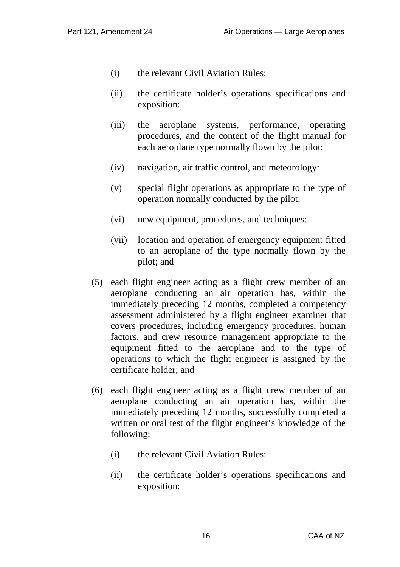- (i) the relevant Civil Aviation Rules:
- (ii) the certificate holder's operations specifications and exposition:
- (iii) the aeroplane systems, performance, operating procedures, and the content of the flight manual for each aeroplane type normally flown by the pilot:
- (iv) navigation, air traffic control, and meteorology:
- (v) special flight operations as appropriate to the type of operation normally conducted by the pilot:
- (vi) new equipment, procedures, and techniques:
- (vii) location and operation of emergency equipment fitted to an aeroplane of the type normally flown by the pilot; and
- (5) each flight engineer acting as a flight crew member of an aeroplane conducting an air operation has, within the immediately preceding 12 months, completed a competency assessment administered by a flight engineer examiner that covers procedures, including emergency procedures, human factors, and crew resource management appropriate to the equipment fitted to the aeroplane and to the type of operations to which the flight engineer is assigned by the certificate holder; and
- (6) each flight engineer acting as a flight crew member of an aeroplane conducting an air operation has, within the immediately preceding 12 months, successfully completed a written or oral test of the flight engineer's knowledge of the following:
	- (i) the relevant Civil Aviation Rules:
	- (ii) the certificate holder's operations specifications and exposition: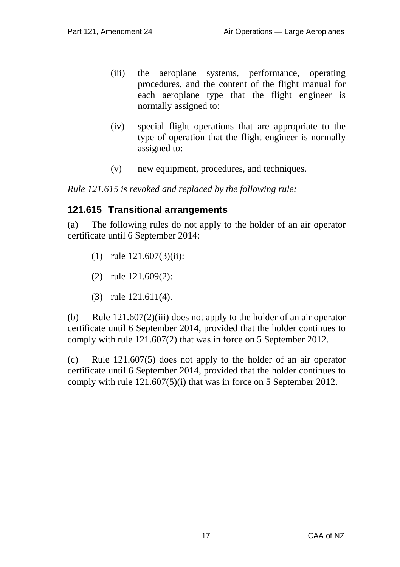- (iii) the aeroplane systems, performance, operating procedures, and the content of the flight manual for each aeroplane type that the flight engineer is normally assigned to:
- (iv) special flight operations that are appropriate to the type of operation that the flight engineer is normally assigned to:
- (v) new equipment, procedures, and techniques.

*Rule 121.615 is revoked and replaced by the following rule:*

### <span id="page-16-0"></span>**121.615 Transitional arrangements**

(a) The following rules do not apply to the holder of an air operator certificate until 6 September 2014:

- (1) rule 121.607(3)(ii):
- (2) rule 121.609(2):
- (3) rule 121.611(4).

(b) Rule 121.607(2)(iii) does not apply to the holder of an air operator certificate until 6 September 2014, provided that the holder continues to comply with rule 121.607(2) that was in force on 5 September 2012.

(c) Rule 121.607(5) does not apply to the holder of an air operator certificate until 6 September 2014, provided that the holder continues to comply with rule  $121.607(5)$ (i) that was in force on 5 September 2012.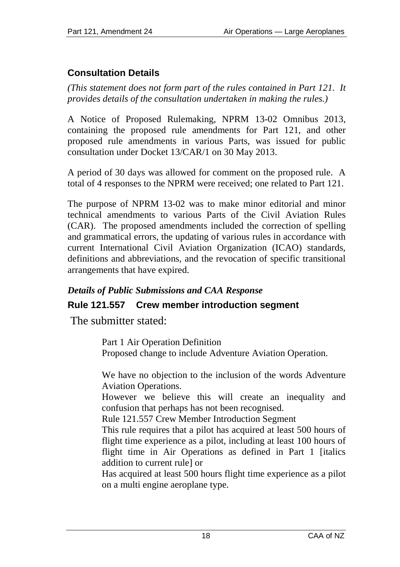# <span id="page-17-0"></span>**Consultation Details**

*(This statement does not form part of the rules contained in Part 121. It provides details of the consultation undertaken in making the rules.)*

A Notice of Proposed Rulemaking, NPRM 13-02 Omnibus 2013, containing the proposed rule amendments for Part 121, and other proposed rule amendments in various Parts, was issued for public consultation under Docket 13/CAR/1 on 30 May 2013.

A period of 30 days was allowed for comment on the proposed rule. A total of 4 responses to the NPRM were received; one related to Part 121.

The purpose of NPRM 13-02 was to make minor editorial and minor technical amendments to various Parts of the Civil Aviation Rules (CAR). The proposed amendments included the correction of spelling and grammatical errors, the updating of various rules in accordance with current International Civil Aviation Organization (ICAO) standards, definitions and abbreviations, and the revocation of specific transitional arrangements that have expired.

### *Details of Public Submissions and CAA Response*

# <span id="page-17-1"></span>**Rule 121.557 Crew member introduction segment**

The submitter stated:

Part 1 Air Operation Definition Proposed change to include Adventure Aviation Operation.

We have no objection to the inclusion of the words Adventure Aviation Operations.

However we believe this will create an inequality and confusion that perhaps has not been recognised.

Rule 121.557 Crew Member Introduction Segment

This rule requires that a pilot has acquired at least 500 hours of flight time experience as a pilot, including at least 100 hours of flight time in Air Operations as defined in Part 1 [italics addition to current rule] or

Has acquired at least 500 hours flight time experience as a pilot on a multi engine aeroplane type.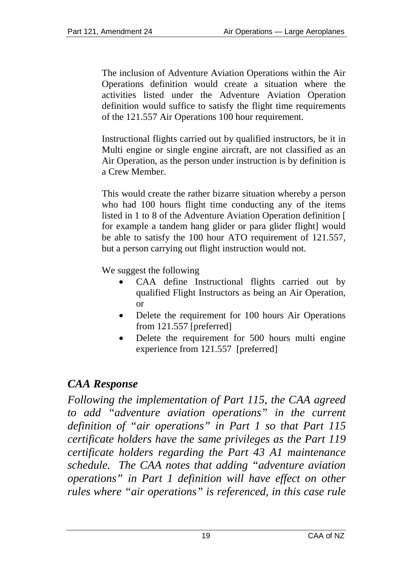The inclusion of Adventure Aviation Operations within the Air Operations definition would create a situation where the activities listed under the Adventure Aviation Operation definition would suffice to satisfy the flight time requirements of the 121.557 Air Operations 100 hour requirement.

Instructional flights carried out by qualified instructors, be it in Multi engine or single engine aircraft, are not classified as an Air Operation, as the person under instruction is by definition is a Crew Member.

This would create the rather bizarre situation whereby a person who had 100 hours flight time conducting any of the items listed in 1 to 8 of the Adventure Aviation Operation definition [ for example a tandem hang glider or para glider flight] would be able to satisfy the 100 hour ATO requirement of 121.557, but a person carrying out flight instruction would not.

We suggest the following

- CAA define Instructional flights carried out by qualified Flight Instructors as being an Air Operation, or
- Delete the requirement for 100 hours Air Operations from 121.557 [preferred]
- Delete the requirement for 500 hours multi engine experience from 121.557 [preferred]

# *CAA Response*

*Following the implementation of Part 115, the CAA agreed to add "adventure aviation operations" in the current definition of "air operations" in Part 1 so that Part 115 certificate holders have the same privileges as the Part 119 certificate holders regarding the Part 43 A1 maintenance schedule. The CAA notes that adding "adventure aviation operations" in Part 1 definition will have effect on other rules where "air operations" is referenced, in this case rule*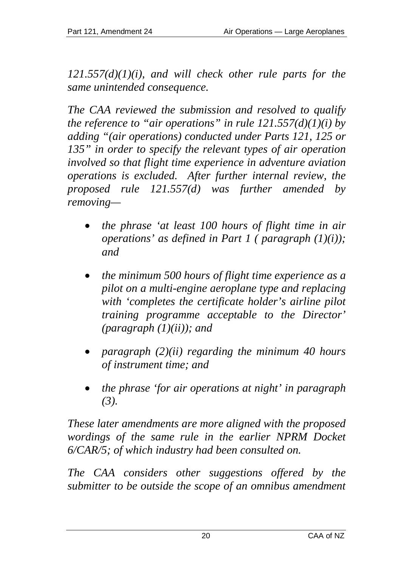*121.557(d)(1)(i), and will check other rule parts for the same unintended consequence.* 

*The CAA reviewed the submission and resolved to qualify the reference to "air operations" in rule*  $121.557(d)(1)(i)$  *by adding "(air operations) conducted under Parts 121, 125 or 135" in order to specify the relevant types of air operation involved so that flight time experience in adventure aviation operations is excluded. After further internal review, the proposed rule 121.557(d) was further amended by removing—*

- *the phrase 'at least 100 hours of flight time in air operations' as defined in Part 1 ( paragraph (1)(i)); and*
- *the minimum 500 hours of flight time experience as a pilot on a multi-engine aeroplane type and replacing with 'completes the certificate holder's airline pilot training programme acceptable to the Director' (paragraph (1)(ii)); and*
- *paragraph (2)(ii) regarding the minimum 40 hours of instrument time; and*
- *the phrase 'for air operations at night' in paragraph (3).*

*These later amendments are more aligned with the proposed wordings of the same rule in the earlier NPRM Docket 6/CAR/5; of which industry had been consulted on.* 

*The CAA considers other suggestions offered by the submitter to be outside the scope of an omnibus amendment*